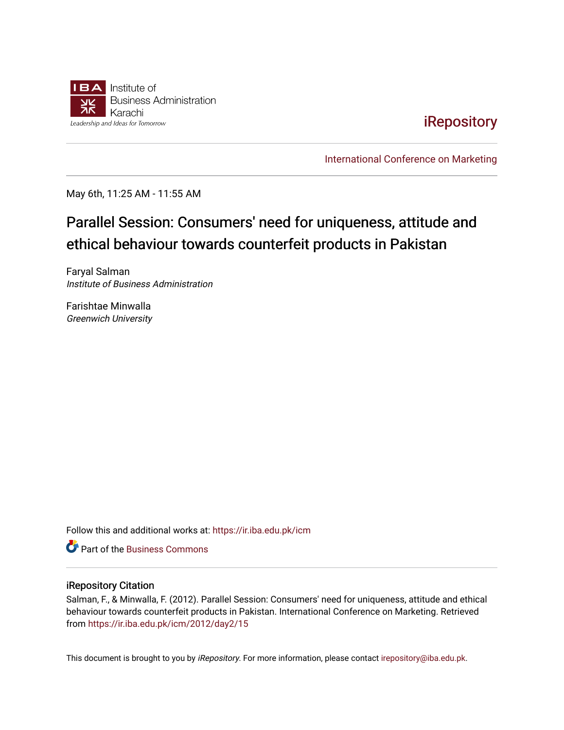

[iRepository](https://ir.iba.edu.pk/) 

[International Conference on Marketing](https://ir.iba.edu.pk/icm) 

May 6th, 11:25 AM - 11:55 AM

# Parallel Session: Consumers' need for uniqueness, attitude and ethical behaviour towards counterfeit products in Pakistan

Faryal Salman Institute of Business Administration

Farishtae Minwalla Greenwich University

Follow this and additional works at: [https://ir.iba.edu.pk/icm](https://ir.iba.edu.pk/icm?utm_source=ir.iba.edu.pk%2Ficm%2F2012%2Fday2%2F15&utm_medium=PDF&utm_campaign=PDFCoverPages) 

**C** Part of the [Business Commons](http://network.bepress.com/hgg/discipline/622?utm_source=ir.iba.edu.pk%2Ficm%2F2012%2Fday2%2F15&utm_medium=PDF&utm_campaign=PDFCoverPages)

#### iRepository Citation

Salman, F., & Minwalla, F. (2012). Parallel Session: Consumers' need for uniqueness, attitude and ethical behaviour towards counterfeit products in Pakistan. International Conference on Marketing. Retrieved from [https://ir.iba.edu.pk/icm/2012/day2/15](https://ir.iba.edu.pk/icm/2012/day2/15?utm_source=ir.iba.edu.pk%2Ficm%2F2012%2Fday2%2F15&utm_medium=PDF&utm_campaign=PDFCoverPages) 

This document is brought to you by iRepository. For more information, please contact [irepository@iba.edu.pk](mailto:irepository@iba.edu.pk).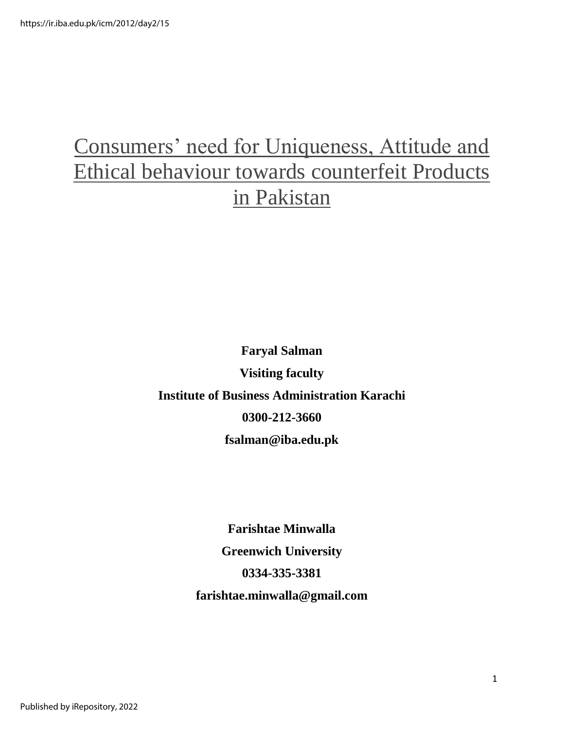# Consumers' need for Uniqueness, Attitude and Ethical behaviour towards counterfeit Products in Pakistan

**Faryal Salman Visiting faculty Institute of Business Administration Karachi 0300-212-3660 fsalman@iba.edu.pk** 

> **Farishtae Minwalla Greenwich University 0334-335-3381 farishtae.minwalla@gmail.com**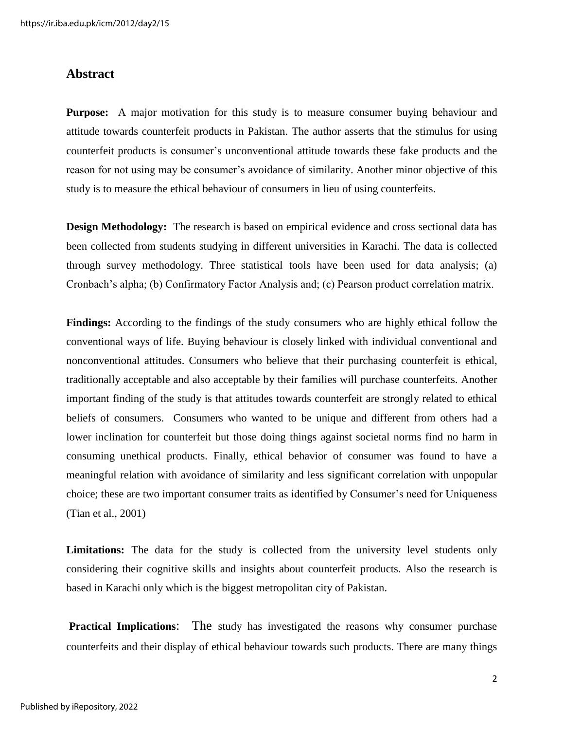### **Abstract**

**Purpose:** A major motivation for this study is to measure consumer buying behaviour and attitude towards counterfeit products in Pakistan. The author asserts that the stimulus for using counterfeit products is consumer"s unconventional attitude towards these fake products and the reason for not using may be consumer's avoidance of similarity. Another minor objective of this study is to measure the ethical behaviour of consumers in lieu of using counterfeits.

**Design Methodology:** The research is based on empirical evidence and cross sectional data has been collected from students studying in different universities in Karachi. The data is collected through survey methodology. Three statistical tools have been used for data analysis; (a) Cronbach"s alpha; (b) Confirmatory Factor Analysis and; (c) Pearson product correlation matrix.

**Findings:** According to the findings of the study consumers who are highly ethical follow the conventional ways of life. Buying behaviour is closely linked with individual conventional and nonconventional attitudes. Consumers who believe that their purchasing counterfeit is ethical, traditionally acceptable and also acceptable by their families will purchase counterfeits. Another important finding of the study is that attitudes towards counterfeit are strongly related to ethical beliefs of consumers. Consumers who wanted to be unique and different from others had a lower inclination for counterfeit but those doing things against societal norms find no harm in consuming unethical products. Finally, ethical behavior of consumer was found to have a meaningful relation with avoidance of similarity and less significant correlation with unpopular choice; these are two important consumer traits as identified by Consumer's need for Uniqueness (Tian et al., 2001)

**Limitations:** The data for the study is collected from the university level students only considering their cognitive skills and insights about counterfeit products. Also the research is based in Karachi only which is the biggest metropolitan city of Pakistan.

**Practical Implications:** The study has investigated the reasons why consumer purchase counterfeits and their display of ethical behaviour towards such products. There are many things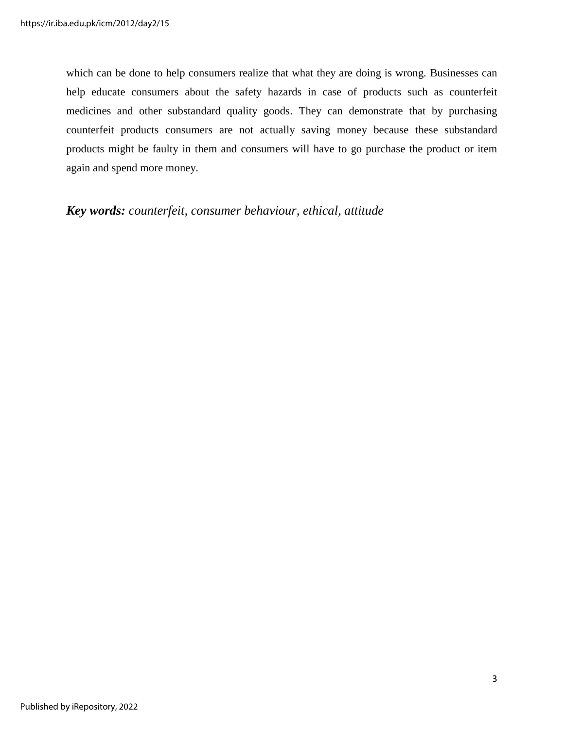which can be done to help consumers realize that what they are doing is wrong. Businesses can help educate consumers about the safety hazards in case of products such as counterfeit medicines and other substandard quality goods. They can demonstrate that by purchasing counterfeit products consumers are not actually saving money because these substandard products might be faulty in them and consumers will have to go purchase the product or item again and spend more money.

*Key words: counterfeit, consumer behaviour, ethical, attitude*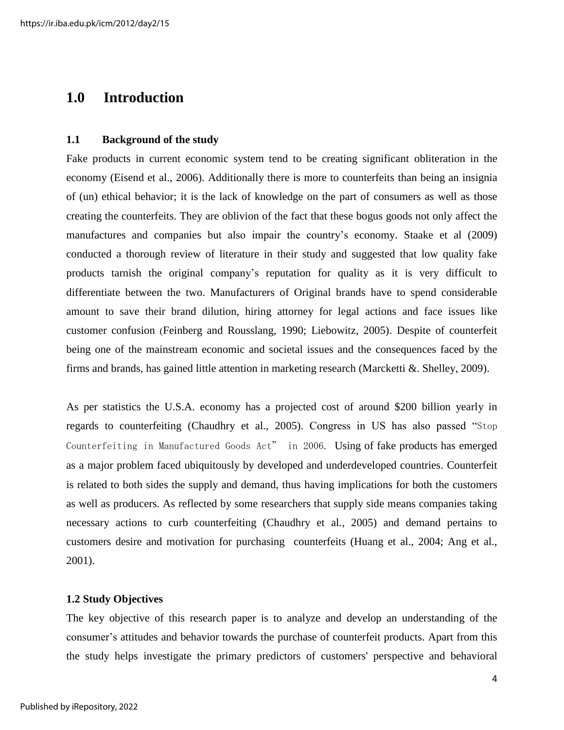# **1.0 Introduction**

#### **1.1 Background of the study**

Fake products in current economic system tend to be creating significant obliteration in the economy (Eisend et al., 2006). Additionally there is more to counterfeits than being an insignia of (un) ethical behavior; it is the lack of knowledge on the part of consumers as well as those creating the counterfeits. They are oblivion of the fact that these bogus goods not only affect the manufactures and companies but also impair the country"s economy. Staake et al (2009) conducted a thorough review of literature in their study and suggested that low quality fake products tarnish the original company"s reputation for quality as it is very difficult to differentiate between the two. Manufacturers of Original brands have to spend considerable amount to save their brand dilution, hiring attorney for legal actions and face issues like customer confusion (Feinberg and Rousslang, 1990; Liebowitz, 2005). Despite of counterfeit being one of the mainstream economic and societal issues and the consequences faced by the firms and brands, has gained little attention in marketing research (Marcketti  $\&$ . Shelley, 2009).

As per statistics the U.S.A. economy has a projected cost of around \$200 billion yearly in regards to counterfeiting (Chaudhry et al., 2005). Congress in US has also passed "Stop Counterfeiting in Manufactured Goods Act" in 2006. Using of fake products has emerged as a major problem faced ubiquitously by developed and underdeveloped countries. Counterfeit is related to both sides the supply and demand, thus having implications for both the customers as well as producers. As reflected by some researchers that supply side means companies taking necessary actions to curb counterfeiting (Chaudhry et al*.,* 2005) and demand pertains to customers desire and motivation for purchasing counterfeits (Huang et al., 2004; Ang et al., 2001).

#### **1.2 Study Objectives**

The key objective of this research paper is to analyze and develop an understanding of the consumer"s attitudes and behavior towards the purchase of counterfeit products. Apart from this the study helps investigate the primary predictors of customers' perspective and behavioral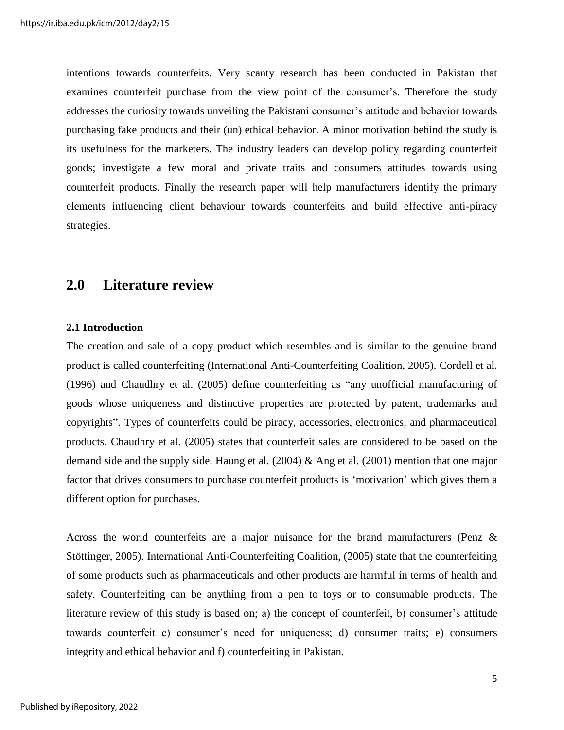intentions towards counterfeits. Very scanty research has been conducted in Pakistan that examines counterfeit purchase from the view point of the consumer's. Therefore the study addresses the curiosity towards unveiling the Pakistani consumer"s attitude and behavior towards purchasing fake products and their (un) ethical behavior. A minor motivation behind the study is its usefulness for the marketers. The industry leaders can develop policy regarding counterfeit goods; investigate a few moral and private traits and consumers attitudes towards using counterfeit products. Finally the research paper will help manufacturers identify the primary elements influencing client behaviour towards counterfeits and build effective anti-piracy strategies.

# **2.0 Literature review**

#### **2.1 Introduction**

The creation and sale of a copy product which resembles and is similar to the genuine brand product is called counterfeiting (International Anti-Counterfeiting Coalition, 2005). Cordell et al. (1996) and Chaudhry et al. (2005) define counterfeiting as "any unofficial manufacturing of goods whose uniqueness and distinctive properties are protected by patent, trademarks and copyrights". Types of counterfeits could be piracy, accessories, electronics, and pharmaceutical products. Chaudhry et al. (2005) states that counterfeit sales are considered to be based on the demand side and the supply side. Haung et al. (2004) & Ang et al. (2001) mention that one major factor that drives consumers to purchase counterfeit products is 'motivation' which gives them a different option for purchases.

Across the world counterfeits are a major nuisance for the brand manufacturers (Penz & Stöttinger, 2005). International Anti-Counterfeiting Coalition, (2005) state that the counterfeiting of some products such as pharmaceuticals and other products are harmful in terms of health and safety. Counterfeiting can be anything from a pen to toys or to consumable products. The literature review of this study is based on; a) the concept of counterfeit, b) consumer's attitude towards counterfeit c) consumer"s need for uniqueness; d) consumer traits; e) consumers integrity and ethical behavior and f) counterfeiting in Pakistan.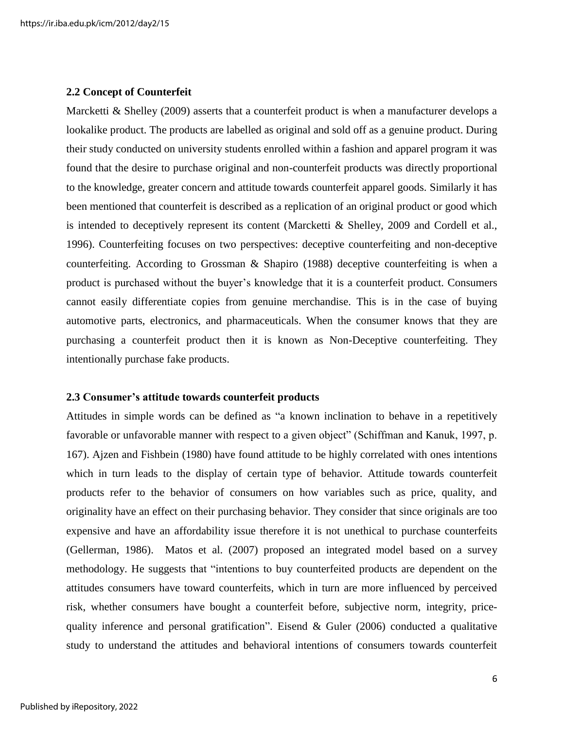#### **2.2 Concept of Counterfeit**

Marcketti & Shelley (2009) asserts that a counterfeit product is when a manufacturer develops a lookalike product. The products are labelled as original and sold off as a genuine product. During their study conducted on university students enrolled within a fashion and apparel program it was found that the desire to purchase original and non-counterfeit products was directly proportional to the knowledge, greater concern and attitude towards counterfeit apparel goods. Similarly it has been mentioned that counterfeit is described as a replication of an original product or good which is intended to deceptively represent its content (Marcketti & Shelley, 2009 and Cordell et al., 1996). Counterfeiting focuses on two perspectives: deceptive counterfeiting and non-deceptive counterfeiting. According to Grossman & Shapiro (1988) deceptive counterfeiting is when a product is purchased without the buyer"s knowledge that it is a counterfeit product. Consumers cannot easily differentiate copies from genuine merchandise. This is in the case of buying automotive parts, electronics, and pharmaceuticals. When the consumer knows that they are purchasing a counterfeit product then it is known as Non-Deceptive counterfeiting. They intentionally purchase fake products.

#### **2.3 Consumer's attitude towards counterfeit products**

Attitudes in simple words can be defined as "a known inclination to behave in a repetitively favorable or unfavorable manner with respect to a given object" (Schiffman and Kanuk, 1997, p. 167). Ajzen and Fishbein (1980) have found attitude to be highly correlated with ones intentions which in turn leads to the display of certain type of behavior. Attitude towards counterfeit products refer to the behavior of consumers on how variables such as price, quality, and originality have an effect on their purchasing behavior. They consider that since originals are too expensive and have an affordability issue therefore it is not unethical to purchase counterfeits (Gellerman, 1986). Matos et al. (2007) proposed an integrated model based on a survey methodology. He suggests that "intentions to buy counterfeited products are dependent on the attitudes consumers have toward counterfeits, which in turn are more influenced by perceived risk, whether consumers have bought a counterfeit before, subjective norm, integrity, pricequality inference and personal gratification". Eisend & Guler (2006) conducted a qualitative study to understand the attitudes and behavioral intentions of consumers towards counterfeit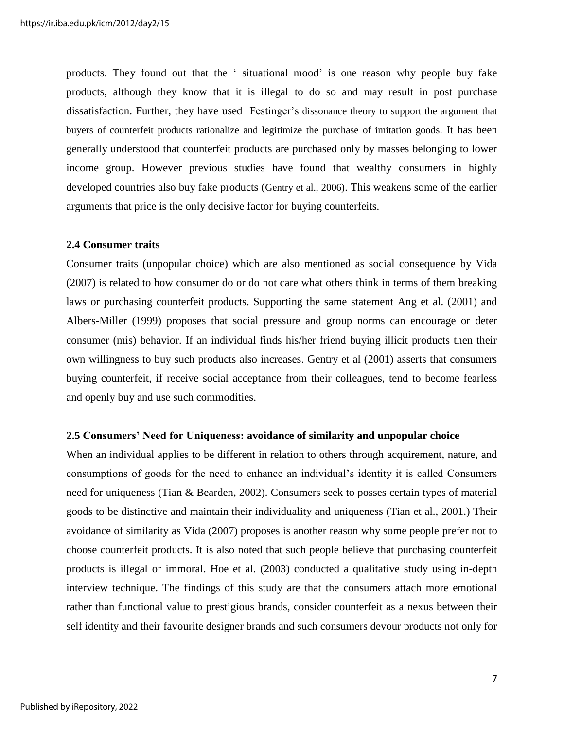products. They found out that the " situational mood" is one reason why people buy fake products, although they know that it is illegal to do so and may result in post purchase dissatisfaction. Further, they have used Festinger's dissonance theory to support the argument that buyers of counterfeit products rationalize and legitimize the purchase of imitation goods. It has been generally understood that counterfeit products are purchased only by masses belonging to lower income group. However previous studies have found that wealthy consumers in highly developed countries also buy fake products (Gentry et al., 2006). This weakens some of the earlier arguments that price is the only decisive factor for buying counterfeits.

#### **2.4 Consumer traits**

Consumer traits (unpopular choice) which are also mentioned as social consequence by Vida (2007) is related to how consumer do or do not care what others think in terms of them breaking laws or purchasing counterfeit products. Supporting the same statement Ang et al. (2001) and Albers-Miller (1999) proposes that social pressure and group norms can encourage or deter consumer (mis) behavior. If an individual finds his/her friend buying illicit products then their own willingness to buy such products also increases. Gentry et al (2001) asserts that consumers buying counterfeit, if receive social acceptance from their colleagues, tend to become fearless and openly buy and use such commodities.

#### **2.5 Consumers' Need for Uniqueness: avoidance of similarity and unpopular choice**

When an individual applies to be different in relation to others through acquirement, nature, and consumptions of goods for the need to enhance an individual"s identity it is called Consumers need for uniqueness (Tian & Bearden, 2002). Consumers seek to posses certain types of material goods to be distinctive and maintain their individuality and uniqueness (Tian et al., 2001.) Their avoidance of similarity as Vida (2007) proposes is another reason why some people prefer not to choose counterfeit products. It is also noted that such people believe that purchasing counterfeit products is illegal or immoral. Hoe et al. (2003) conducted a qualitative study using in-depth interview technique. The findings of this study are that the consumers attach more emotional rather than functional value to prestigious brands, consider counterfeit as a nexus between their self identity and their favourite designer brands and such consumers devour products not only for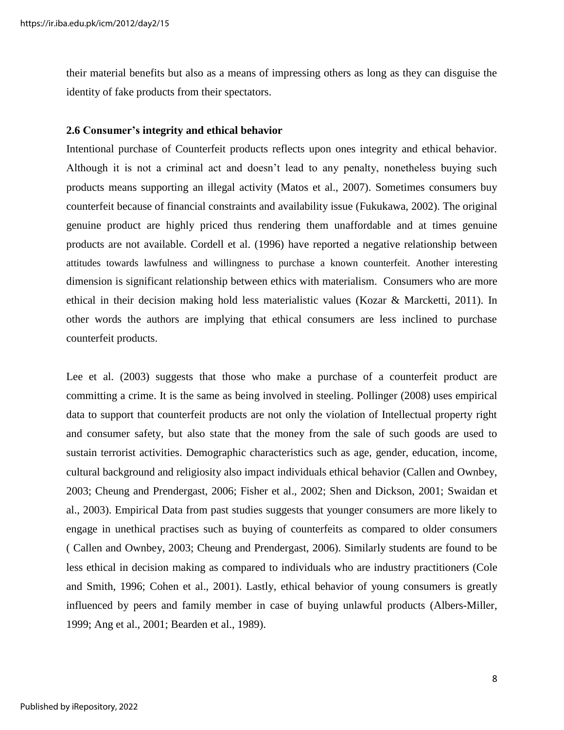their material benefits but also as a means of impressing others as long as they can disguise the identity of fake products from their spectators.

#### **2.6 Consumer's integrity and ethical behavior**

Intentional purchase of Counterfeit products reflects upon ones integrity and ethical behavior. Although it is not a criminal act and doesn"t lead to any penalty, nonetheless buying such products means supporting an illegal activity (Matos et al., 2007). Sometimes consumers buy counterfeit because of financial constraints and availability issue (Fukukawa, 2002). The original genuine product are highly priced thus rendering them unaffordable and at times genuine products are not available. Cordell et al. (1996) have reported a negative relationship between attitudes towards lawfulness and willingness to purchase a known counterfeit. Another interesting dimension is significant relationship between ethics with materialism. Consumers who are more ethical in their decision making hold less materialistic values (Kozar & Marcketti, 2011). In other words the authors are implying that ethical consumers are less inclined to purchase counterfeit products.

Lee et al. (2003) suggests that those who make a purchase of a counterfeit product are committing a crime. It is the same as being involved in steeling. Pollinger (2008) uses empirical data to support that counterfeit products are not only the violation of Intellectual property right and consumer safety, but also state that the money from the sale of such goods are used to sustain terrorist activities. Demographic characteristics such as age, gender, education, income, cultural background and religiosity also impact individuals ethical behavior (Callen and Ownbey, 2003; Cheung and Prendergast, 2006; Fisher et al., 2002; Shen and Dickson, 2001; Swaidan et al., 2003). Empirical Data from past studies suggests that younger consumers are more likely to engage in unethical practises such as buying of counterfeits as compared to older consumers ( Callen and Ownbey, 2003; Cheung and Prendergast, 2006). Similarly students are found to be less ethical in decision making as compared to individuals who are industry practitioners (Cole and Smith, 1996; Cohen et al., 2001). Lastly, ethical behavior of young consumers is greatly influenced by peers and family member in case of buying unlawful products (Albers-Miller, 1999; Ang et al., 2001; Bearden et al., 1989).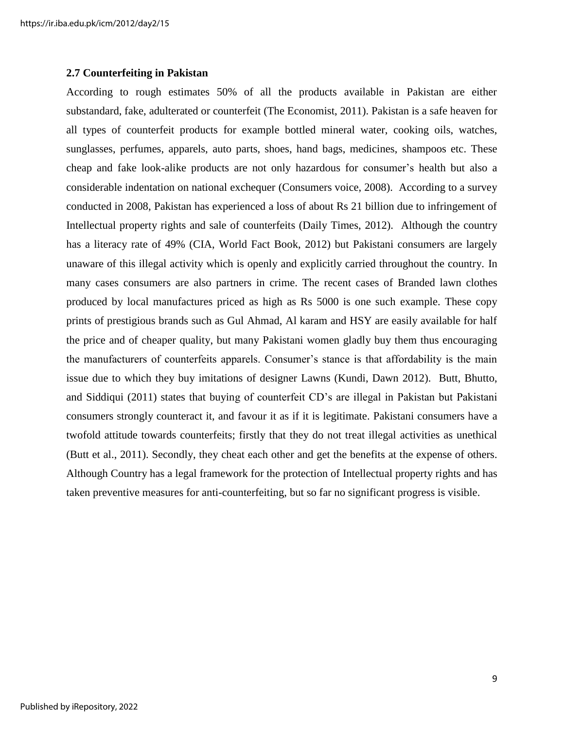#### **2.7 Counterfeiting in Pakistan**

According to rough estimates 50% of all the products available in Pakistan are either substandard, fake, adulterated or counterfeit (The Economist, 2011). Pakistan is a safe heaven for all types of counterfeit products for example bottled mineral water, cooking oils, watches, sunglasses, perfumes, apparels, auto parts, shoes, hand bags, medicines, shampoos etc. These cheap and fake look-alike products are not only hazardous for consumer's health but also a considerable indentation on national exchequer (Consumers voice, 2008). According to a survey conducted in 2008, Pakistan has experienced a loss of about Rs 21 billion due to infringement of Intellectual property rights and sale of counterfeits (Daily Times, 2012). Although the country has a literacy rate of 49% (CIA, World Fact Book, 2012) but Pakistani consumers are largely unaware of this illegal activity which is openly and explicitly carried throughout the country. In many cases consumers are also partners in crime. The recent cases of Branded lawn clothes produced by local manufactures priced as high as Rs 5000 is one such example. These copy prints of prestigious brands such as Gul Ahmad, Al karam and HSY are easily available for half the price and of cheaper quality, but many Pakistani women gladly buy them thus encouraging the manufacturers of counterfeits apparels. Consumer's stance is that affordability is the main issue due to which they buy imitations of designer Lawns (Kundi, Dawn 2012). Butt, Bhutto, and Siddiqui (2011) states that buying of counterfeit CD"s are illegal in Pakistan but Pakistani consumers strongly counteract it, and favour it as if it is legitimate. Pakistani consumers have a twofold attitude towards counterfeits; firstly that they do not treat illegal activities as unethical (Butt et al., 2011). Secondly, they cheat each other and get the benefits at the expense of others. Although Country has a legal framework for the protection of Intellectual property rights and has taken preventive measures for anti-counterfeiting, but so far no significant progress is visible.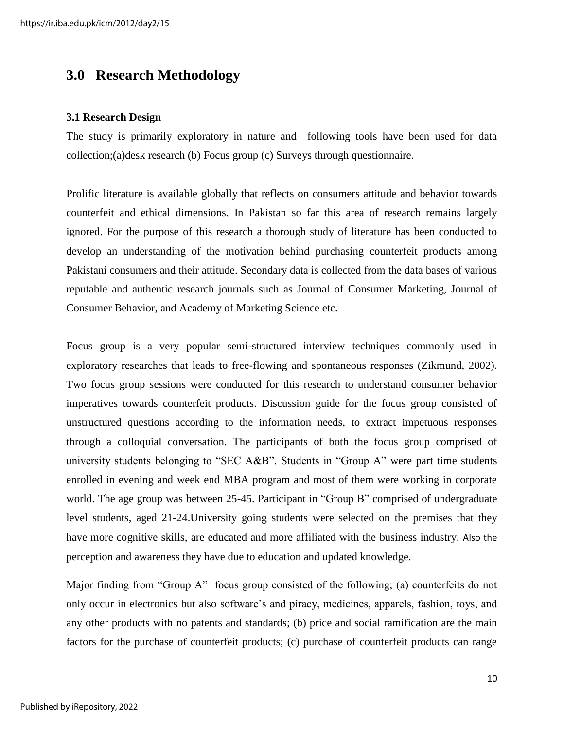# **3.0 Research Methodology**

#### **3.1 Research Design**

The study is primarily exploratory in nature and following tools have been used for data collection;(a)desk research (b) Focus group (c) Surveys through questionnaire.

Prolific literature is available globally that reflects on consumers attitude and behavior towards counterfeit and ethical dimensions. In Pakistan so far this area of research remains largely ignored. For the purpose of this research a thorough study of literature has been conducted to develop an understanding of the motivation behind purchasing counterfeit products among Pakistani consumers and their attitude. Secondary data is collected from the data bases of various reputable and authentic research journals such as Journal of Consumer Marketing, Journal of Consumer Behavior, and Academy of Marketing Science etc.

Focus group is a very popular semi-structured interview techniques commonly used in exploratory researches that leads to free-flowing and spontaneous responses (Zikmund, 2002). Two focus group sessions were conducted for this research to understand consumer behavior imperatives towards counterfeit products. Discussion guide for the focus group consisted of unstructured questions according to the information needs, to extract impetuous responses through a colloquial conversation. The participants of both the focus group comprised of university students belonging to "SEC A&B". Students in "Group A" were part time students enrolled in evening and week end MBA program and most of them were working in corporate world. The age group was between 25-45. Participant in "Group B" comprised of undergraduate level students, aged 21-24.University going students were selected on the premises that they have more cognitive skills, are educated and more affiliated with the business industry. Also the perception and awareness they have due to education and updated knowledge.

Major finding from "Group A" focus group consisted of the following; (a) counterfeits do not only occur in electronics but also software"s and piracy, medicines, apparels, fashion, toys, and any other products with no patents and standards; (b) price and social ramification are the main factors for the purchase of counterfeit products; (c) purchase of counterfeit products can range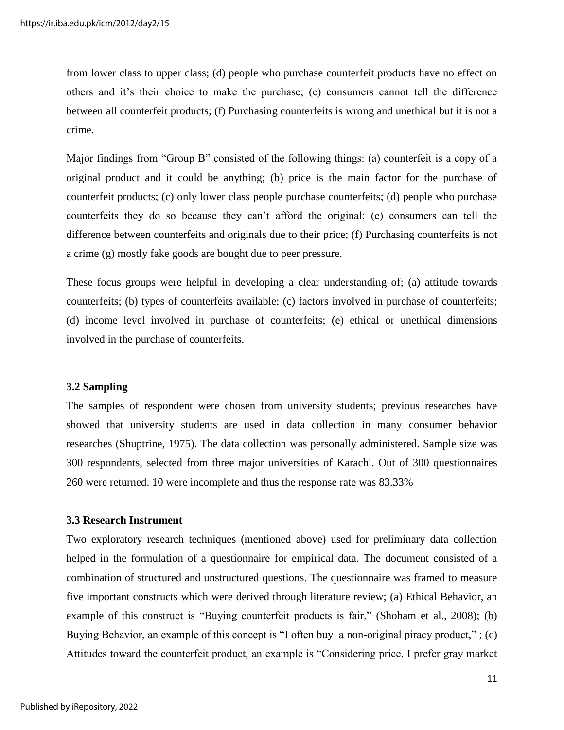from lower class to upper class; (d) people who purchase counterfeit products have no effect on others and it"s their choice to make the purchase; (e) consumers cannot tell the difference between all counterfeit products; (f) Purchasing counterfeits is wrong and unethical but it is not a crime.

Major findings from "Group B" consisted of the following things: (a) counterfeit is a copy of a original product and it could be anything; (b) price is the main factor for the purchase of counterfeit products; (c) only lower class people purchase counterfeits; (d) people who purchase counterfeits they do so because they can"t afford the original; (e) consumers can tell the difference between counterfeits and originals due to their price; (f) Purchasing counterfeits is not a crime (g) mostly fake goods are bought due to peer pressure.

These focus groups were helpful in developing a clear understanding of; (a) attitude towards counterfeits; (b) types of counterfeits available; (c) factors involved in purchase of counterfeits; (d) income level involved in purchase of counterfeits; (e) ethical or unethical dimensions involved in the purchase of counterfeits.

#### **3.2 Sampling**

The samples of respondent were chosen from university students; previous researches have showed that university students are used in data collection in many consumer behavior researches (Shuptrine, 1975). The data collection was personally administered. Sample size was 300 respondents, selected from three major universities of Karachi. Out of 300 questionnaires 260 were returned. 10 were incomplete and thus the response rate was 83.33%

#### **3.3 Research Instrument**

Two exploratory research techniques (mentioned above) used for preliminary data collection helped in the formulation of a questionnaire for empirical data. The document consisted of a combination of structured and unstructured questions. The questionnaire was framed to measure five important constructs which were derived through literature review; (a) Ethical Behavior, an example of this construct is "Buying counterfeit products is fair," (Shoham et al., 2008); (b) Buying Behavior, an example of this concept is "I often buy a non-original piracy product,"; (c) Attitudes toward the counterfeit product, an example is "Considering price, I prefer gray market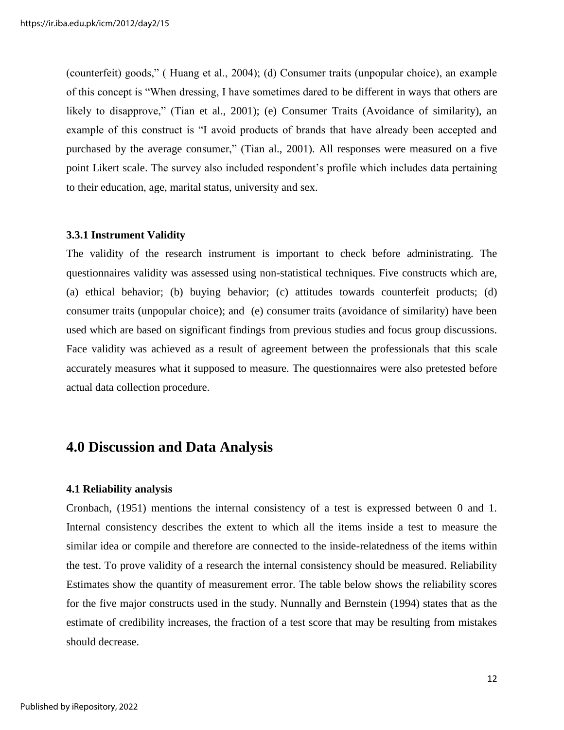(counterfeit) goods," ( Huang et al., 2004); (d) Consumer traits (unpopular choice), an example of this concept is "When dressing, I have sometimes dared to be different in ways that others are likely to disapprove," (Tian et al., 2001); (e) Consumer Traits (Avoidance of similarity), an example of this construct is "I avoid products of brands that have already been accepted and purchased by the average consumer," (Tian al., 2001). All responses were measured on a five point Likert scale. The survey also included respondent"s profile which includes data pertaining to their education, age, marital status, university and sex.

#### **3.3.1 Instrument Validity**

The validity of the research instrument is important to check before administrating. The questionnaires validity was assessed using non-statistical techniques. Five constructs which are, (a) ethical behavior; (b) buying behavior; (c) attitudes towards counterfeit products; (d) consumer traits (unpopular choice); and (e) consumer traits (avoidance of similarity) have been used which are based on significant findings from previous studies and focus group discussions. Face validity was achieved as a result of agreement between the professionals that this scale accurately measures what it supposed to measure. The questionnaires were also pretested before actual data collection procedure.

# **4.0 Discussion and Data Analysis**

#### **4.1 Reliability analysis**

Cronbach, (1951) mentions the internal consistency of a test is expressed between 0 and 1. Internal consistency describes the extent to which all the items inside a test to measure the similar idea or compile and therefore are connected to the inside-relatedness of the items within the test. To prove validity of a research the internal consistency should be measured. Reliability Estimates show the quantity of measurement error. The table below shows the reliability scores for the five major constructs used in the study. Nunnally and Bernstein (1994) states that as the estimate of credibility increases, the fraction of a test score that may be resulting from mistakes should decrease.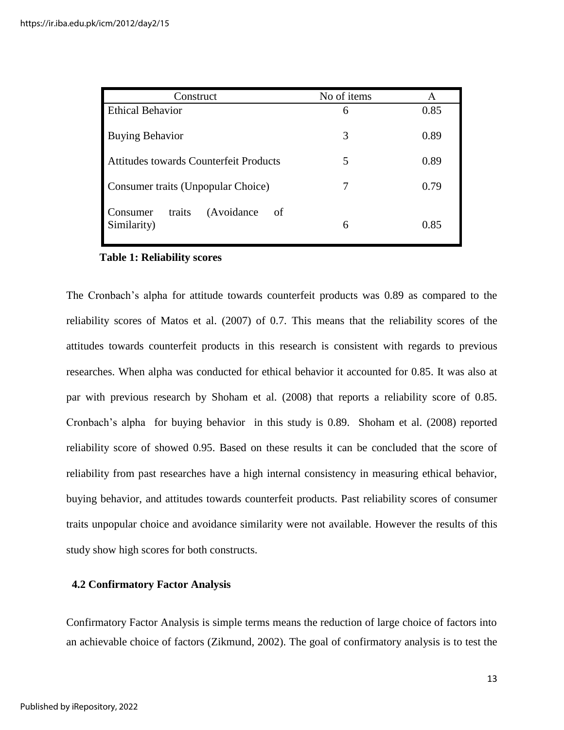| No of items<br>Construct                                 |   | A    |
|----------------------------------------------------------|---|------|
| <b>Ethical Behavior</b>                                  | 6 | 0.85 |
| <b>Buying Behavior</b><br>3                              |   | 0.89 |
| Attitudes towards Counterfeit Products                   | 5 | 0.89 |
| Consumer traits (Unpopular Choice)                       |   | 0.79 |
| (Avoidance)<br>traits<br>Consumer<br>- of<br>Similarity) | 6 | 0.85 |

#### **Table 1: Reliability scores**

The Cronbach"s alpha for attitude towards counterfeit products was 0.89 as compared to the reliability scores of Matos et al. (2007) of 0.7. This means that the reliability scores of the attitudes towards counterfeit products in this research is consistent with regards to previous researches. When alpha was conducted for ethical behavior it accounted for 0.85. It was also at par with previous research by Shoham et al. (2008) that reports a reliability score of 0.85. Cronbach"s alpha for buying behavior in this study is 0.89. Shoham et al. (2008) reported reliability score of showed 0.95. Based on these results it can be concluded that the score of reliability from past researches have a high internal consistency in measuring ethical behavior, buying behavior, and attitudes towards counterfeit products. Past reliability scores of consumer traits unpopular choice and avoidance similarity were not available. However the results of this study show high scores for both constructs.

#### **4.2 Confirmatory Factor Analysis**

Confirmatory Factor Analysis is simple terms means the reduction of large choice of factors into an achievable choice of factors (Zikmund, 2002). The goal of confirmatory analysis is to test the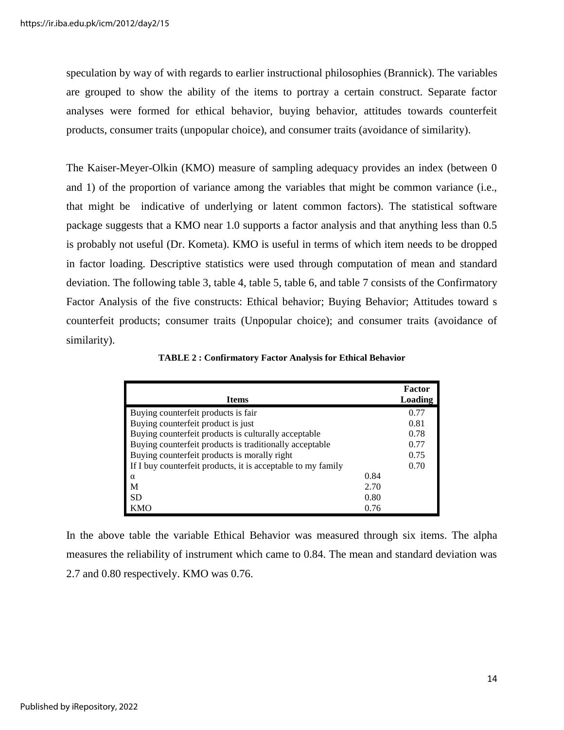speculation by way of with regards to earlier instructional philosophies (Brannick). The variables are grouped to show the ability of the items to portray a certain construct. Separate factor analyses were formed for ethical behavior, buying behavior, attitudes towards counterfeit products, consumer traits (unpopular choice), and consumer traits (avoidance of similarity).

The Kaiser-Meyer-Olkin (KMO) measure of sampling adequacy provides an index (between 0 and 1) of the proportion of variance among the variables that might be common variance (i.e., that might be indicative of underlying or latent common factors). The statistical software package suggests that a KMO near 1.0 supports a factor analysis and that anything less than 0.5 is probably not useful (Dr. Kometa). KMO is useful in terms of which item needs to be dropped in factor loading. Descriptive statistics were used through computation of mean and standard deviation. The following table 3, table 4, table 5, table 6, and table 7 consists of the Confirmatory Factor Analysis of the five constructs: Ethical behavior; Buying Behavior; Attitudes toward s counterfeit products; consumer traits (Unpopular choice); and consumer traits (avoidance of similarity).

|                                                              |      | Factor  |
|--------------------------------------------------------------|------|---------|
| <b>Items</b>                                                 |      | Loading |
| Buying counterfeit products is fair                          |      | 0.77    |
| Buying counterfeit product is just                           |      | 0.81    |
| Buying counterfeit products is culturally acceptable         |      | 0.78    |
| Buying counterfeit products is traditionally acceptable      |      | 0.77    |
| Buying counterfeit products is morally right                 |      | 0.75    |
| If I buy counterfeit products, it is acceptable to my family |      | 0.70    |
| $\alpha$                                                     | 0.84 |         |
| M                                                            | 2.70 |         |
| <b>SD</b>                                                    | 0.80 |         |
| KMO                                                          | 0.76 |         |

 **TABLE 2 : Confirmatory Factor Analysis for Ethical Behavior** 

In the above table the variable Ethical Behavior was measured through six items. The alpha measures the reliability of instrument which came to 0.84. The mean and standard deviation was 2.7 and 0.80 respectively. KMO was 0.76.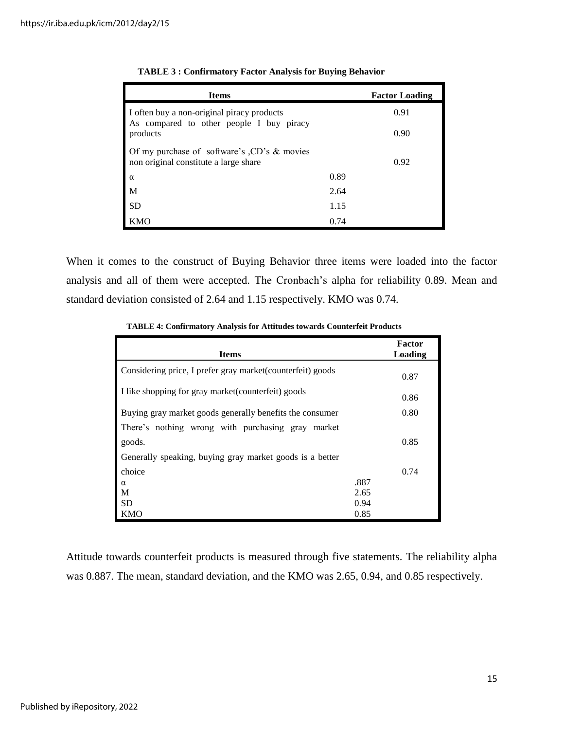| <b>Items</b>                                                                                 |      | <b>Factor Loading</b> |
|----------------------------------------------------------------------------------------------|------|-----------------------|
| I often buy a non-original piracy products<br>As compared to other people I buy piracy       |      | 0.91                  |
| products                                                                                     |      | 0.90                  |
| Of my purchase of software's $\angle$ CD's & movies<br>non original constitute a large share |      | 0.92                  |
| $\alpha$                                                                                     | 0.89 |                       |
| M                                                                                            | 2.64 |                       |
| <b>SD</b>                                                                                    | 1.15 |                       |
| <b>KMO</b>                                                                                   | 0.74 |                       |

|  | <b>TABLE 3: Confirmatory Factor Analysis for Buying Behavior</b> |  |
|--|------------------------------------------------------------------|--|
|--|------------------------------------------------------------------|--|

When it comes to the construct of Buying Behavior three items were loaded into the factor analysis and all of them were accepted. The Cronbach's alpha for reliability 0.89. Mean and standard deviation consisted of 2.64 and 1.15 respectively. KMO was 0.74.

 **TABLE 4: Confirmatory Analysis for Attitudes towards Counterfeit Products**

| <b>Items</b>                                                |      | Factor<br>Loading |
|-------------------------------------------------------------|------|-------------------|
| Considering price, I prefer gray market (counterfeit) goods |      | 0.87              |
| I like shopping for gray market (counterfeit) goods         |      | 0.86              |
| Buying gray market goods generally benefits the consumer    |      | 0.80              |
| There's nothing wrong with purchasing gray market           |      |                   |
| goods.                                                      |      | 0.85              |
| Generally speaking, buying gray market goods is a better    |      |                   |
| choice                                                      |      | 0.74              |
| $\alpha$                                                    | .887 |                   |
| M                                                           | 2.65 |                   |
| <b>SD</b>                                                   | 0.94 |                   |
| <b>KMO</b>                                                  | 0.85 |                   |

Attitude towards counterfeit products is measured through five statements. The reliability alpha was 0.887. The mean, standard deviation, and the KMO was 2.65, 0.94, and 0.85 respectively.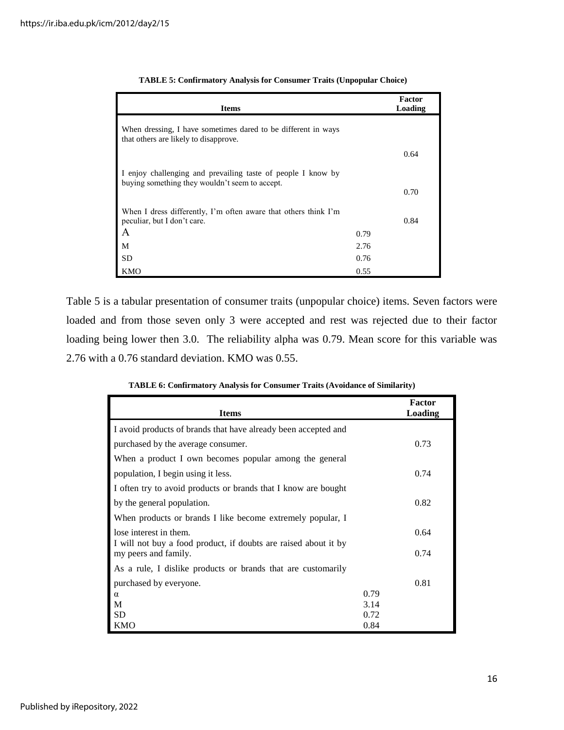| <b>Items</b>                                                                                                   |      | Factor<br>Loading |
|----------------------------------------------------------------------------------------------------------------|------|-------------------|
| When dressing, I have sometimes dared to be different in ways<br>that others are likely to disapprove.         |      |                   |
|                                                                                                                |      | 0.64              |
| I enjoy challenging and prevailing taste of people I know by<br>buying something they wouldn't seem to accept. |      |                   |
|                                                                                                                |      | 0.70              |
| When I dress differently, I'm often aware that others think I'm                                                |      |                   |
| peculiar, but I don't care.                                                                                    |      | 0.84              |
| A                                                                                                              | 0.79 |                   |
| М                                                                                                              | 2.76 |                   |
| <b>SD</b>                                                                                                      | 0.76 |                   |
| KMO                                                                                                            | 0.55 |                   |

| <b>TABLE 5: Confirmatory Analysis for Consumer Traits (Unpopular Choice)</b> |  |  |  |  |  |
|------------------------------------------------------------------------------|--|--|--|--|--|
|------------------------------------------------------------------------------|--|--|--|--|--|

Table 5 is a tabular presentation of consumer traits (unpopular choice) items. Seven factors were loaded and from those seven only 3 were accepted and rest was rejected due to their factor loading being lower then 3.0. The reliability alpha was 0.79. Mean score for this variable was 2.76 with a 0.76 standard deviation. KMO was 0.55.

 **TABLE 6: Confirmatory Analysis for Consumer Traits (Avoidance of Similarity)**

| <b>Items</b>                                                                            |      | <b>Factor</b><br>Loading |
|-----------------------------------------------------------------------------------------|------|--------------------------|
| I avoid products of brands that have already been accepted and                          |      |                          |
| purchased by the average consumer.                                                      |      | 0.73                     |
| When a product I own becomes popular among the general                                  |      |                          |
| population, I begin using it less.                                                      |      | 0.74                     |
| I often try to avoid products or brands that I know are bought                          |      |                          |
| by the general population.                                                              |      | 0.82                     |
| When products or brands I like become extremely popular, I                              |      |                          |
| lose interest in them.                                                                  |      | 0.64                     |
| I will not buy a food product, if doubts are raised about it by<br>my peers and family. |      | 0.74                     |
| As a rule, I dislike products or brands that are customarily                            |      |                          |
| purchased by everyone.                                                                  |      | 0.81                     |
| $\alpha$                                                                                | 0.79 |                          |
| M                                                                                       | 3.14 |                          |
| <b>SD</b>                                                                               | 0.72 |                          |
| <b>KMO</b>                                                                              | 0.84 |                          |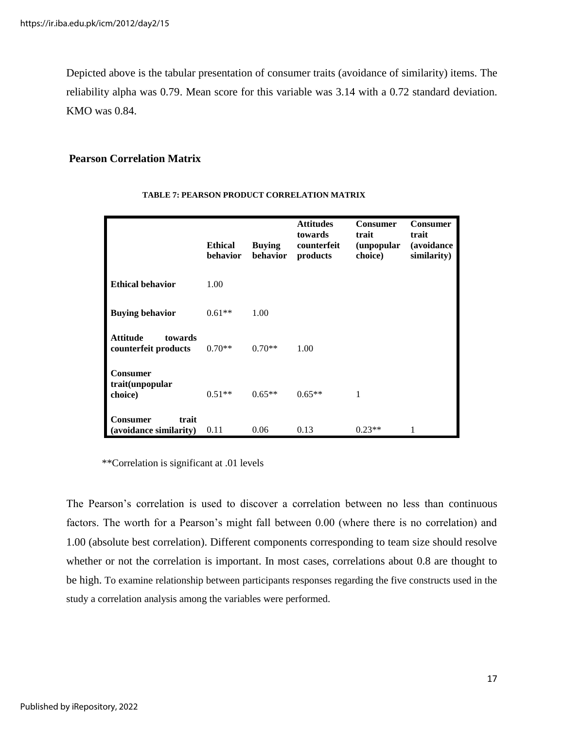Depicted above is the tabular presentation of consumer traits (avoidance of similarity) items. The reliability alpha was 0.79. Mean score for this variable was 3.14 with a 0.72 standard deviation. KMO was 0.84.

#### **Pearson Correlation Matrix**

|                                                    | <b>Ethical</b><br>behavior | <b>Buying</b><br>behavior | <b>Attitudes</b><br>towards<br>counterfeit<br>products | <b>Consumer</b><br>trait<br>(unpopular)<br>choice) | <b>Consumer</b><br>trait<br><i>(avoidance)</i><br>similarity) |
|----------------------------------------------------|----------------------------|---------------------------|--------------------------------------------------------|----------------------------------------------------|---------------------------------------------------------------|
| <b>Ethical behavior</b>                            | 1.00                       |                           |                                                        |                                                    |                                                               |
| <b>Buying behavior</b>                             | $0.61**$                   | 1.00                      |                                                        |                                                    |                                                               |
| <b>Attitude</b><br>towards<br>counterfeit products | $0.70**$                   | $0.70**$                  | 1.00                                                   |                                                    |                                                               |
| Consumer<br>trait(unpopular<br>choice)             | $0.51**$                   | $0.65**$                  | $0.65**$                                               | 1                                                  |                                                               |
| trait<br>Consumer<br>(avoidance similarity)        | 0.11                       | 0.06                      | 0.13                                                   | $0.23**$                                           |                                                               |

#### **TABLE 7: PEARSON PRODUCT CORRELATION MATRIX**

\*\*Correlation is significant at .01 levels

The Pearson"s correlation is used to discover a correlation between no less than continuous factors. The worth for a Pearson's might fall between 0.00 (where there is no correlation) and 1.00 (absolute best correlation). Different components corresponding to team size should resolve whether or not the correlation is important. In most cases, correlations about 0.8 are thought to be high. To examine relationship between participants responses regarding the five constructs used in the study a correlation analysis among the variables were performed.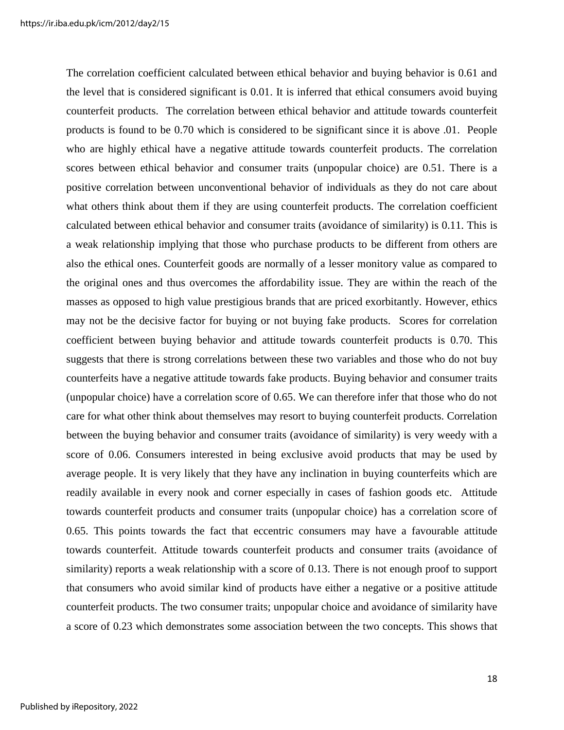The correlation coefficient calculated between ethical behavior and buying behavior is 0.61 and the level that is considered significant is 0.01. It is inferred that ethical consumers avoid buying counterfeit products. The correlation between ethical behavior and attitude towards counterfeit products is found to be 0.70 which is considered to be significant since it is above .01. People who are highly ethical have a negative attitude towards counterfeit products. The correlation scores between ethical behavior and consumer traits (unpopular choice) are 0.51. There is a positive correlation between unconventional behavior of individuals as they do not care about what others think about them if they are using counterfeit products. The correlation coefficient calculated between ethical behavior and consumer traits (avoidance of similarity) is 0.11. This is a weak relationship implying that those who purchase products to be different from others are also the ethical ones. Counterfeit goods are normally of a lesser monitory value as compared to the original ones and thus overcomes the affordability issue. They are within the reach of the masses as opposed to high value prestigious brands that are priced exorbitantly. However, ethics may not be the decisive factor for buying or not buying fake products. Scores for correlation coefficient between buying behavior and attitude towards counterfeit products is 0.70. This suggests that there is strong correlations between these two variables and those who do not buy counterfeits have a negative attitude towards fake products. Buying behavior and consumer traits (unpopular choice) have a correlation score of 0.65. We can therefore infer that those who do not care for what other think about themselves may resort to buying counterfeit products. Correlation between the buying behavior and consumer traits (avoidance of similarity) is very weedy with a score of 0.06. Consumers interested in being exclusive avoid products that may be used by average people. It is very likely that they have any inclination in buying counterfeits which are readily available in every nook and corner especially in cases of fashion goods etc. Attitude towards counterfeit products and consumer traits (unpopular choice) has a correlation score of 0.65. This points towards the fact that eccentric consumers may have a favourable attitude towards counterfeit. Attitude towards counterfeit products and consumer traits (avoidance of similarity) reports a weak relationship with a score of 0.13. There is not enough proof to support that consumers who avoid similar kind of products have either a negative or a positive attitude counterfeit products. The two consumer traits; unpopular choice and avoidance of similarity have a score of 0.23 which demonstrates some association between the two concepts. This shows that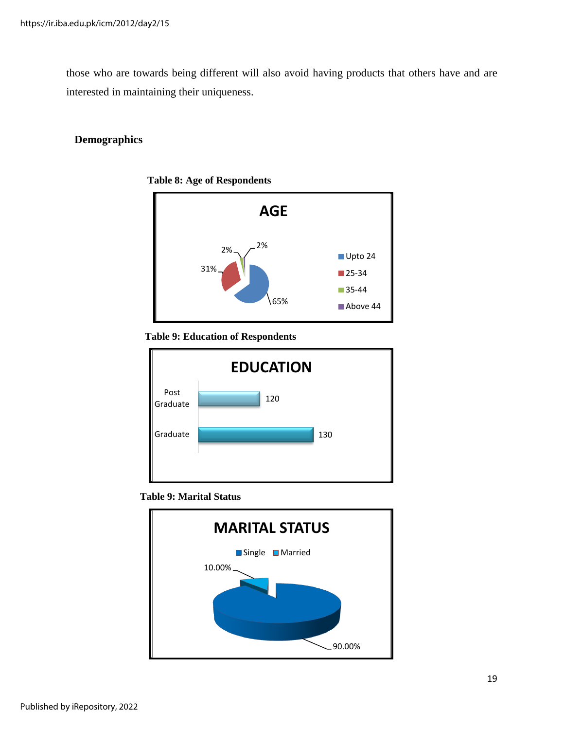those who are towards being different will also avoid having products that others have and are interested in maintaining their uniqueness.

## **Demographics**



 **Table 8: Age of Respondents** 

#### **Table 9: Education of Respondents**





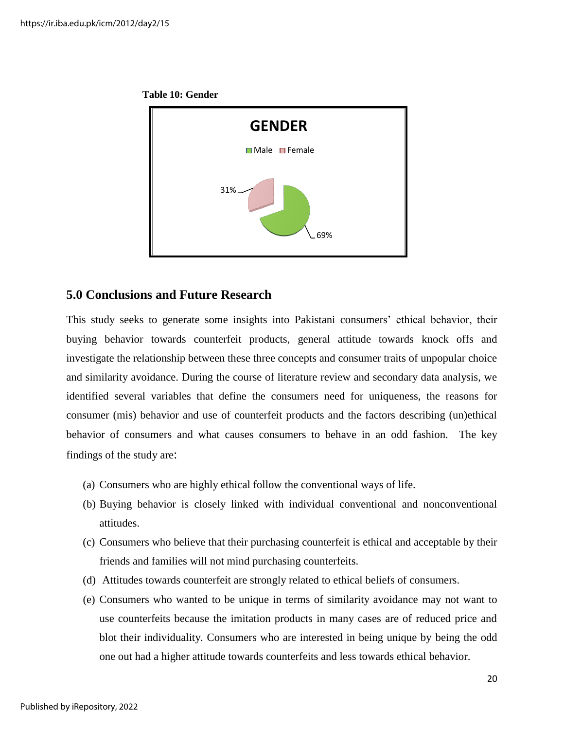



## **5.0 Conclusions and Future Research**

This study seeks to generate some insights into Pakistani consumers' ethical behavior, their buying behavior towards counterfeit products, general attitude towards knock offs and investigate the relationship between these three concepts and consumer traits of unpopular choice and similarity avoidance. During the course of literature review and secondary data analysis, we identified several variables that define the consumers need for uniqueness, the reasons for consumer (mis) behavior and use of counterfeit products and the factors describing (un)ethical behavior of consumers and what causes consumers to behave in an odd fashion. The key findings of the study are:

- (a) Consumers who are highly ethical follow the conventional ways of life.
- (b) Buying behavior is closely linked with individual conventional and nonconventional attitudes.
- (c) Consumers who believe that their purchasing counterfeit is ethical and acceptable by their friends and families will not mind purchasing counterfeits.
- (d) Attitudes towards counterfeit are strongly related to ethical beliefs of consumers.
- (e) Consumers who wanted to be unique in terms of similarity avoidance may not want to use counterfeits because the imitation products in many cases are of reduced price and blot their individuality. Consumers who are interested in being unique by being the odd one out had a higher attitude towards counterfeits and less towards ethical behavior.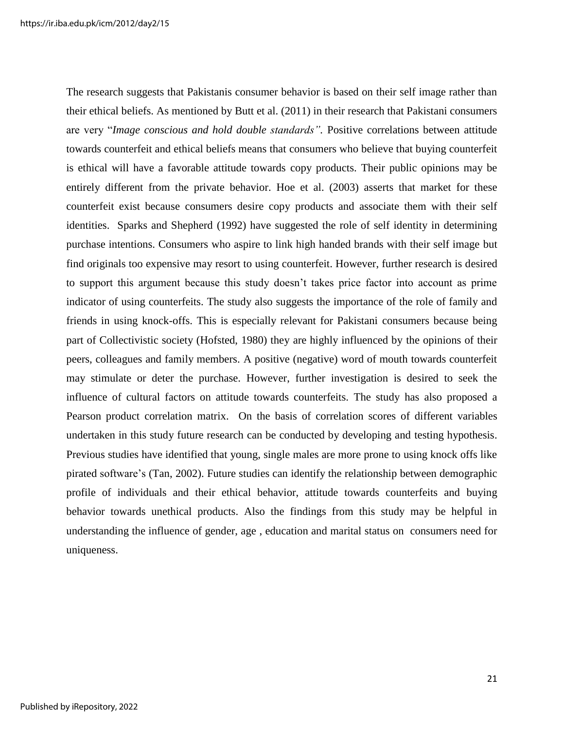The research suggests that Pakistanis consumer behavior is based on their self image rather than their ethical beliefs. As mentioned by Butt et al. (2011) in their research that Pakistani consumers are very "*Image conscious and hold double standards".* Positive correlations between attitude towards counterfeit and ethical beliefs means that consumers who believe that buying counterfeit is ethical will have a favorable attitude towards copy products. Their public opinions may be entirely different from the private behavior. Hoe et al. (2003) asserts that market for these counterfeit exist because consumers desire copy products and associate them with their self identities. Sparks and Shepherd (1992) have suggested the role of self identity in determining purchase intentions. Consumers who aspire to link high handed brands with their self image but find originals too expensive may resort to using counterfeit. However, further research is desired to support this argument because this study doesn"t takes price factor into account as prime indicator of using counterfeits. The study also suggests the importance of the role of family and friends in using knock-offs. This is especially relevant for Pakistani consumers because being part of Collectivistic society (Hofsted, 1980) they are highly influenced by the opinions of their peers, colleagues and family members. A positive (negative) word of mouth towards counterfeit may stimulate or deter the purchase. However, further investigation is desired to seek the influence of cultural factors on attitude towards counterfeits. The study has also proposed a Pearson product correlation matrix. On the basis of correlation scores of different variables undertaken in this study future research can be conducted by developing and testing hypothesis. Previous studies have identified that young, single males are more prone to using knock offs like pirated software"s (Tan, 2002). Future studies can identify the relationship between demographic profile of individuals and their ethical behavior, attitude towards counterfeits and buying behavior towards unethical products. Also the findings from this study may be helpful in understanding the influence of gender, age , education and marital status on consumers need for uniqueness.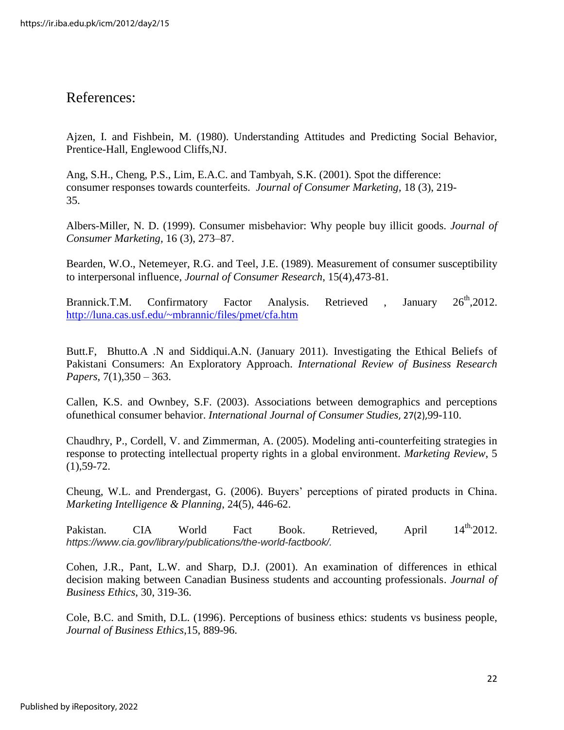# References:

Ajzen, I. and Fishbein, M. (1980). Understanding Attitudes and Predicting Social Behavior, Prentice-Hall, Englewood Cliffs,NJ.

Ang, S.H., Cheng, P.S., Lim, E.A.C. and Tambyah, S.K. (2001). Spot the difference: consumer responses towards counterfeits. *Journal of Consumer Marketing,* 18 (3), 219- 35.

Albers-Miller, N. D. (1999). Consumer misbehavior: Why people buy illicit goods. *Journal of Consumer Marketing,* 16 (3), 273–87.

Bearden, W.O., Netemeyer, R.G. and Teel, J.E. (1989). Measurement of consumer susceptibility to interpersonal influence, *Journal of Consumer Research*, 15(4),473-81.

Brannick.T.M. Confirmatory Factor Analysis. Retrieved , January 26<sup>th</sup>,2012. <http://luna.cas.usf.edu/~mbrannic/files/pmet/cfa.htm>

Butt.F, Bhutto.A .N and Siddiqui.A.N. (January 2011). Investigating the Ethical Beliefs of Pakistani Consumers: An Exploratory Approach. *International Review of Business Research Papers*, 7(1),350 – 363.

Callen, K.S. and Ownbey, S.F. (2003). Associations between demographics and perceptions ofunethical consumer behavior. *International Journal of Consumer Studies*, 27(2),99-110.

Chaudhry, P., Cordell, V. and Zimmerman, A. (2005). Modeling anti-counterfeiting strategies in response to protecting intellectual property rights in a global environment. *Marketing Review*, 5  $(1), 59-72.$ 

Cheung, W.L. and Prendergast, G. (2006). Buyers" perceptions of pirated products in China. *Marketing Intelligence & Planning*, 24(5), 446-62.

Pakistan. CIA World Fact Book. Retrieved, April 14<sup>th,</sup>  $14^{\text{th}}$  2012. *https://www.cia.gov/library/publications/the-world-factbook/.*

Cohen, J.R., Pant, L.W. and Sharp, D.J. (2001). An examination of differences in ethical decision making between Canadian Business students and accounting professionals. *Journal of Business Ethics*, 30, 319-36.

Cole, B.C. and Smith, D.L. (1996). Perceptions of business ethics: students vs business people, *Journal of Business Ethics*,15, 889-96.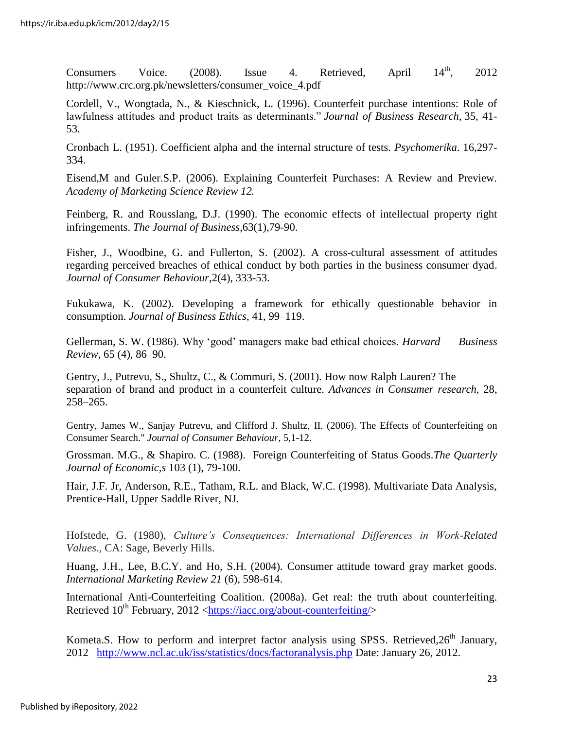Consumers Voice. (2008). Issue 4. Retrieved, April  $14^{\text{th}}$ , 2012 http://www.crc.org.pk/newsletters/consumer\_voice\_4.pdf

Cordell, V., Wongtada, N., & Kieschnick, L. (1996). Counterfeit purchase intentions: Role of lawfulness attitudes and product traits as determinants." *Journal of Business Research*, 35*,* 41- 53.

Cronbach L. (1951). Coefficient alpha and the internal structure of tests. *Psychomerika*. 16,297- 334.

Eisend,M and Guler.S.P. (2006). Explaining Counterfeit Purchases: A Review and Preview. *Academy of Marketing Science Review 12.* 

Feinberg, R. and Rousslang, D.J. (1990). The economic effects of intellectual property right infringements. *The Journal of Business*,63(1),79-90.

Fisher, J., Woodbine, G. and Fullerton, S. (2002). A cross-cultural assessment of attitudes regarding perceived breaches of ethical conduct by both parties in the business consumer dyad. *Journal of Consumer Behaviour*,2(4), 333-53.

Fukukawa, K. (2002). Developing a framework for ethically questionable behavior in consumption. *Journal of Business Ethics*, 41, 99–119.

Gellerman, S. W. (1986). Why "good" managers make bad ethical choices. *Harvard Business Review*, 65 (4), 86–90.

Gentry, J., Putrevu, S., Shultz, C., & Commuri, S. (2001). How now Ralph Lauren? The separation of brand and product in a counterfeit culture. *Advances in Consumer research,* 28, 258–265.

Gentry, James W., Sanjay Putrevu, and Clifford J. Shultz, II. (2006). The Effects of Counterfeiting on Consumer Search." *Journal of Consumer Behaviour,* 5,1-12.

Grossman. M.G., & Shapiro. C. (1988). Foreign Counterfeiting of Status Goods.*The Quarterly Journal of Economic,s* 103 (1), 79-100.

Hair, J.F. Jr, Anderson, R.E., Tatham, R.L. and Black, W.C. (1998). Multivariate Data Analysis, Prentice-Hall, Upper Saddle River, NJ.

Hofstede, G. (1980), *Culture's Consequences: International Differences in Work-Related Values*., CA: Sage, Beverly Hills.

Huang, J.H., Lee, B.C.Y. and Ho, S.H. (2004). Consumer attitude toward gray market goods. *International Marketing Review 21* (6), 598-614.

International Anti-Counterfeiting Coalition. (2008a). Get real: the truth about counterfeiting. Retrieved  $10^{th}$  February, 2012 [<https://iacc.org/about-counterfeiting/>](https://iacc.org/about-counterfeiting/)

Kometa.S. How to perform and interpret factor analysis using SPSS. Retrieved,  $26<sup>th</sup>$  January, 2012 <http://www.ncl.ac.uk/iss/statistics/docs/factoranalysis.php> Date: January 26, 2012.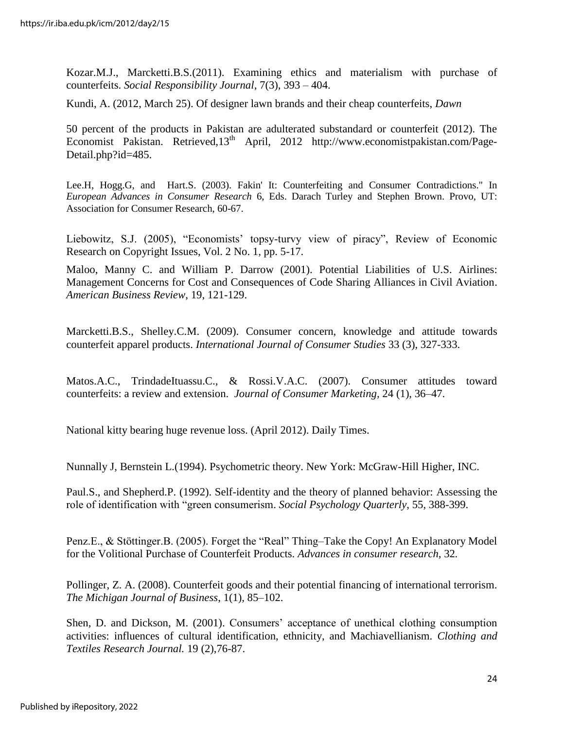Kozar.M.J., Marcketti.B.S.(2011). Examining ethics and materialism with purchase of counterfeits. *Social Responsibility Journal*, 7(3), 393 – 404.

Kundi, A. (2012, March 25). Of designer lawn brands and their cheap counterfeits, *Dawn* 

50 percent of the products in Pakistan are adulterated substandard or counterfeit (2012). The Economist Pakistan. Retrieved, 13<sup>th</sup> April, 2012 http://www.economistpakistan.com/Page-Detail.php?id=485.

Lee.H, Hogg.G, and Hart.S. (2003). Fakin' It: Counterfeiting and Consumer Contradictions." In *European Advances in Consumer Research* 6, Eds. Darach Turley and Stephen Brown. Provo, UT: Association for Consumer Research, 60-67.

Liebowitz, S.J. (2005), "Economists' topsy-turvy view of piracy", Review of Economic Research on Copyright Issues, Vol. 2 No. 1, pp. 5-17.

Maloo, Manny C. and William P. Darrow (2001). Potential Liabilities of U.S. Airlines: Management Concerns for Cost and Consequences of Code Sharing Alliances in Civil Aviation. *American Business Review*, 19, 121-129.

Marcketti.B.S., Shelley.C.M. (2009). Consumer concern, knowledge and attitude towards counterfeit apparel products. *International Journal of Consumer Studies* 33 (3), 327-333.

Matos.A.C., TrindadeItuassu.C., & Rossi.V.A.C. (2007). Consumer attitudes toward counterfeits: a review and extension. *Journal of Consumer Marketing,* 24 (1), 36–47.

National kitty bearing huge revenue loss. (April 2012). Daily Times.

Nunnally J, Bernstein L.(1994). Psychometric theory. New York: McGraw-Hill Higher, INC.

Paul.S., and Shepherd.P. (1992). Self-identity and the theory of planned behavior: Assessing the role of identification with "green consumerism. *Social Psychology Quarterly*, 55, 388-399.

Penz.E., & Stöttinger.B. (2005). Forget the "Real" Thing–Take the Copy! An Explanatory Model for the Volitional Purchase of Counterfeit Products. *Advances in consumer research,* 32*.*

Pollinger, Z. A. (2008). Counterfeit goods and their potential financing of international terrorism. *The Michigan Journal of Business*, 1(1), 85–102.

Shen, D. and Dickson, M. (2001). Consumers' acceptance of unethical clothing consumption activities: influences of cultural identification, ethnicity, and Machiavellianism. *Clothing and Textiles Research Journal.* 19 (2),76-87.